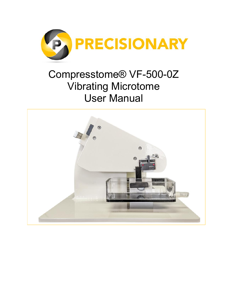

# Compresstome® VF-500-0Z Vibrating Microtome User Manual

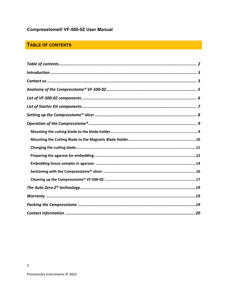# Compresstome® VF-500-0Z User Manual

# TABLE OF CONTENTS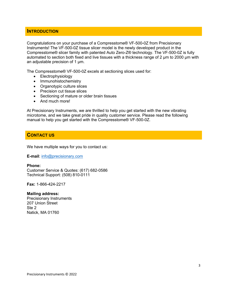### **INTRODUCTION**

Congratulations on your purchase of a Compresstome® VF-500-0Z from Precisionary Instruments! The VF-500-0Z tissue slicer model is the newly developed product in the Compresstome® slicer family with patented Auto Zero-Z® technology. The VF-500-0Z is fully automated to section both fixed and live tissues with a thickness range of 2  $\mu$ m to 2000  $\mu$ m with an adjustable precision of 1  $\mu$ m.

The Compresstome® VF-500-0Z excels at sectioning slices used for:

- Electrophysiology
- Immunohistochemistry
- Organotypic culture slices
- Precision cut tissue slices
- Sectioning of mature or older brain tissues
- And much more!

At Precisionary Instruments, we are thrilled to help you get started with the new vibrating microtome, and we take great pride in quality customer service. Please read the following manual to help you get started with the Compresstome® VF-500-0Z.

# **CONTACT US**

We have multiple ways for you to contact us:

**E-mail**: info@precisionary.com

#### **Phone:**

Customer Service & Quotes: (617) 682-0586 Technical Support: (508) 810-0111

**Fax:** 1-866-424-2217

#### **Mailing address:**

Precisionary Instruments 207 Union Street Ste 2 Natick, MA 01760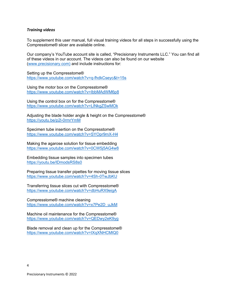#### *Training videos*

To supplement this user manual, full visual training videos for all steps in successfully using the Compresstome® slicer are available online.

Our company's YouTube account site is called, "Precisionary Instruments LLC." You can find all of these videos in our account. The videos can also be found on our website (www.precisionary.com) and include instructions for:

Setting up the Compresstome® https://www.youtube.com/watch?v=q-fhdkCseyc&t=15s

Using the motor box on the Compresstome® https://www.youtube.com/watch?v=IbbMAdWM6p8

Using the control box on for the Compresstome® https://www.youtube.com/watch?v=LlNkgZSwMOk

Adjusting the blade holder angle & height on the Compresstome® https://youtu.be/p2l-0rmrYmM

Specimen tube insertion on the Compresstome® https://www.youtube.com/watch?v=SYOpr9mX-H4

Making the agarose solution for tissue embedding https://www.youtube.com/watch?v=0CW5j5AG4w8

Embedding tissue samples into specimen tubes https://youtu.be/lDmodsRS8s0

Preparing tissue transfer pipettes for moving tissue slices https://www.youtube.com/watch?v=4Sh-0TwJbKU

Transferring tissue slices cut with Compresstome® https://www.youtube.com/watch?v=dbHuRX9eigA

Compresstome® machine cleaning https://www.youtube.com/watch?v=x7Pe2D\_uJkM

Machine oil maintenance for the Compresstome® https://www.youtube.com/watch?v=QEDwy2eK9yg

Blade removal and clean up for the Compresstome® https://www.youtube.com/watch?v=IXqXNHCMlQ0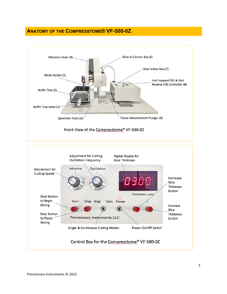# **ANATOMY OF THE COMPRESSTOME® VF-500-0Z**



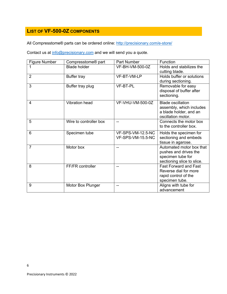# **LIST OF VF-500-0Z COMPONENTS**

All Compresstome® parts can be ordered online: http://precisionary.com/e-store/

Contact us at info@precisionary.com and we will send you a quote.

| <b>Figure Number</b> | Compresstome <sup>®</sup> part | Part Number                            | Function                                                                                             |
|----------------------|--------------------------------|----------------------------------------|------------------------------------------------------------------------------------------------------|
| 1                    | <b>Blade holder</b>            | VF-BH-VM-500-0Z                        | Holds and stabilizes the<br>cutting blade.                                                           |
| $\overline{2}$       | Buffer tray                    | VF-BT-VM-LP                            | Holds buffer or solutions<br>during sectioning.                                                      |
| 3                    | Buffer tray plug               | VF-BT-PL                               | Removable for easy<br>disposal of buffer after<br>sectioning.                                        |
| $\overline{4}$       | Vibration head                 | VF-VHU-VM-500-0Z                       | <b>Blade oscillation</b><br>assembly, which includes<br>a blade holder, and an<br>oscillation motor. |
| 5                    | Wire to controller box         | --                                     | Connects the motor box<br>to the controller box.                                                     |
| 6                    | Specimen tube                  | VF-SPS-VM-12.5-NC<br>VF-SPS-VM-15.5-NC | Holds the specimen for<br>sectioning and embeds<br>tissue in agarose.                                |
| $\overline{7}$       | Motor box                      |                                        | Automated motor box that<br>pushes and drives the<br>specimen tube for<br>sectioning slice to slice. |
| 8                    | FF/FR controller               | --                                     | <b>Fast Forward and Fast</b><br>Reverse dial for more<br>rapid control of the<br>specimen tube.      |
| 9                    | Motor Box Plunger              |                                        | Aligns with tube for<br>advancement                                                                  |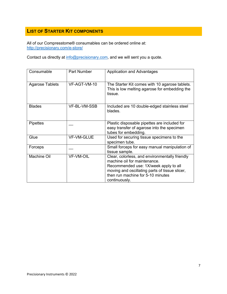# **LIST OF STARTER KIT COMPONENTS**

All of our Compresstome® consumables can be ordered online at: http://precisionary.com/e-store/

Contact us directly at info@precisionary.com, and we will sent you a quote.

| Consumable             | <b>Part Number</b> | <b>Application and Advantages</b>                                                                                                                                                                                               |
|------------------------|--------------------|---------------------------------------------------------------------------------------------------------------------------------------------------------------------------------------------------------------------------------|
| <b>Agarose Tablets</b> | VF-AGT-VM-10       | The Starter Kit comes with 10 agarose tablets.<br>This is low melting agarose for embedding the<br>tissue.                                                                                                                      |
| <b>Blades</b>          | VF-BL-VM-SSB       | Included are 10 double-edged stainless steel<br>blades.                                                                                                                                                                         |
| <b>Pipettes</b>        |                    | Plastic disposable pipettes are included for<br>easy transfer of agarose into the specimen<br>tubes for embedding.                                                                                                              |
| Glue                   | VF-VM-GLUE         | Used for securing tissue specimens to the<br>specimen tube.                                                                                                                                                                     |
| Forceps                |                    | Small forceps for easy manual manipulation of<br>tissue sample.                                                                                                                                                                 |
| <b>Machine Oil</b>     | <b>VF-VM-OIL</b>   | Clear, colorless, and environmentally friendly<br>machine oil for maintenance.<br>Recommended use: 1X/week apply to all<br>moving and oscillating parts of tissue slicer,<br>then run machine for 5-10 minutes<br>continuously. |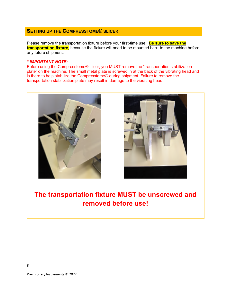# **SETTING UP THE COMPRESSTOME® SLICER**

Please remove the transportation fixture before your first-time use. **Be sure to save the transportation fixture,** because the fixture will need to be mounted back to the machine before any future shipment.

#### *\* IMPORTANT NOTE:*

Before using the Compresstome® slicer, you MUST remove the "transportation stabilization plate" on the machine. The small metal plate is screwed in at the back of the vibrating head and is there to help stabilize the Compresstome® during shipment. Failure to remove the transportation stabilization plate may result in damage to the vibrating head.





# **The transportation fixture MUST be unscrewed and removed before use!**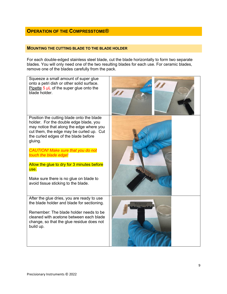# **OPERATION OF THE COMPRESSTOME®**

#### **MOUNTING THE CUTTING BLADE TO THE BLADE HOLDER**

For each double-edged stainless steel blade, cut the blade horizontally to form two separate blades. You will only need one of the two resulting blades for each use. For ceramic blades, remove one of the blades carefully from the pack.

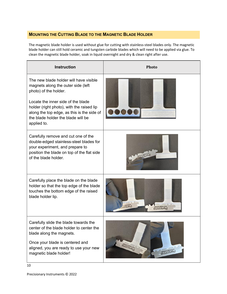# **MOUNTING THE CUTTING BLADE TO THE MAGNETIC BLADE HOLDER**

The magnetic blade holder is used without glue for cutting with stainless-steel blades only. The magnetic blade holder can still hold ceramic and tungsten carbide blades which will need to be applied via glue. To clean the magnetic blade holder, soak in liquid overnight and dry & clean right after use.

| <b>Instruction</b>                                                                                                                                                                                                   | <b>Photo</b>                               |
|----------------------------------------------------------------------------------------------------------------------------------------------------------------------------------------------------------------------|--------------------------------------------|
| The new blade holder will have visible<br>magnets along the outer side (left<br>photo) of the holder.                                                                                                                |                                            |
| Locate the inner side of the blade<br>holder (right photo), with the raised lip<br>along the top edge, as this is the side of<br>the blade holder the blade will be<br>applied to.                                   |                                            |
| Carefully remove and cut one of the<br>double-edged stainless-steel blades for<br>your experiment, and prepare to<br>position the blade on top of the flat side<br>of the blade holder.                              | <b>MOWIS MOWING</b>                        |
| Carefully place the blade on the blade<br>holder so that the top edge of the blade<br>touches the bottom edge of the raised<br>blade holder lip.                                                                     | <b>BUUDISIA</b>                            |
| Carefully slide the blade towards the<br>center of the blade holder to center the<br>blade along the magnets.<br>Once your blade is centered and<br>aligned, you are ready to use your new<br>magnetic blade holder! | <b>BROWN MINISTRATE</b><br><b>BUUOSIAC</b> |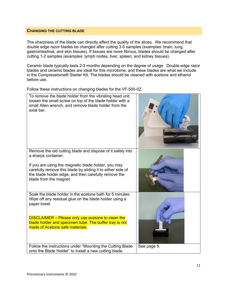#### **CHANGING THE CUTTING BLADE**

The sharpness of the blade can directly affect the quality of the slices. We recommend that double edge razor blades be changed after cutting 3-5 samples (examples: brain, lung, gastrointestinal, and skin tissues). If tissues are more fibrous, blades should be changed after cutting 1-2 samples (examples: lymph nodes, liver, spleen, and kidney tissues).

Ceramic blade typically lasts 2-3 months depending on the degree of usage. Double edge razor blades and ceramic blades are ideal for this microtome, and these blades are what we include in the Compresstome® Starter Kit. The blades should be cleaned with acetone and ethanol before use.

Follow these instructions on changing blades for the VF-500-0Z.

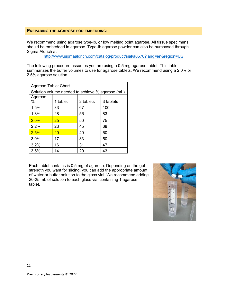#### **PREPARING THE AGAROSE FOR EMBEDDING:**

We recommend using agarose type-Ib, or low melting point agarose. All tissue specimens should be embedded in agarose. Type-Ib agarose powder can also be purchased through Sigma Aldrich at:

http://www.sigmaaldrich.com/catalog/product/sial/a0576?lang=en&region=US

The following procedure assumes you are using a 0.5 mg agarose tablet. This table summarizes the buffer volumes to use for agarose tablets. We recommend using a 2.0% or 2.5% agarose solution.

| <b>Agarose Tablet Chart</b>                      |          |           |           |
|--------------------------------------------------|----------|-----------|-----------|
| Solution volume needed to achieve % agarose (mL) |          |           |           |
| Agarose<br>$\%$                                  | 1 tablet | 2 tablets | 3 tablets |
| 1.5%                                             | 33       | 67        | 100       |
| 1.8%                                             | 28       | 56        | 83        |
| 2.0%                                             | 25       | 50        | 75        |
| 2.2%                                             | 23       | 45        | 68        |
| 2.5%                                             | 20       | 40        | 60        |
| 3.0%                                             | 17       | 33        | 50        |
| 3.2%                                             | 16       | 31        | 47        |
| 3.5%                                             | 14       | 29        | 43        |

Each tablet contains is 0.5 mg of agarose. Depending on the gel strength you want for slicing, you can add the appropriate amount of water or buffer solution to the glass vial. We recommend adding 20-25 mL of solution to each glass vial containing 1 agarose tablet.

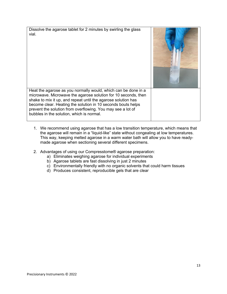Dissolve the agarose tablet for 2 minutes by swirling the glass vial. Heat the agarose as you normally would, which can be done in a microwave. Microwave the agarose solution for 10 seconds, then shake to mix it up, and repeat until the agarose solution has become clear. Heating the solution in 10 seconds bouts helps prevent the solution from overflowing. You may see a lot of bubbles in the solution, which is normal.

- 1. We recommend using agarose that has a low transition temperature, which means that the agarose will remain in a "liquid-like" state without congealing at low temperatures. This way, keeping melted agarose in a warm water bath will allow you to have readymade agarose when sectioning several different specimens.
- 2. Advantages of using our Compresstome® agarose preparation:
	- a) Eliminates weighing agarose for individual experiments
	- b) Agarose tablets are fast dissolving in just 2 minutes
	- c) Environmentally friendly with no organic solvents that could harm tissues
	- d) Produces consistent, reproducible gels that are clear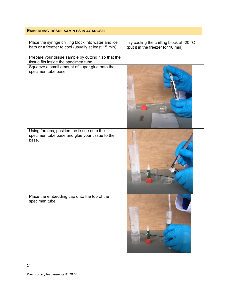### **EMBEDDING TISSUE SAMPLES IN AGAROSE:**

| Place the syringe chilling block into water and ice<br>bath or a freezer to cool (usually at least 15 min). | Try cooling the chilling block at -20 $\,^{\circ}$ C<br>(put it in the freezer for 10 min) |
|-------------------------------------------------------------------------------------------------------------|--------------------------------------------------------------------------------------------|
| Prepare your tissue sample by cutting it so that the<br>tissue fits inside the specimen tube.               |                                                                                            |
| Squeeze a small amount of super glue onto the<br>specimen tube base.                                        |                                                                                            |
| Using forceps, position the tissue onto the<br>specimen tube base and glue your tissue to the<br>base.      |                                                                                            |
| Place the embedding cap onto the top of the<br>specimen tube.                                               |                                                                                            |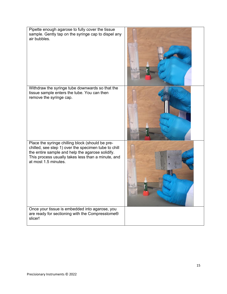| Pipette enough agarose to fully cover the tissue<br>sample. Gently tap on the syringe cap to dispel any<br>air bubbles.                                                                                                                    |  |
|--------------------------------------------------------------------------------------------------------------------------------------------------------------------------------------------------------------------------------------------|--|
| Withdraw the syringe tube downwards so that the<br>tissue sample enters the tube. You can then<br>remove the syringe cap.                                                                                                                  |  |
| Place the syringe chilling block (should be pre-<br>chilled, see step 1) over the specimen tube to chill<br>the entire sample and help the agarose solidify.<br>This process usually takes less than a minute, and<br>at most 1.5 minutes. |  |
| Once your tissue is embedded into agarose, you<br>are ready for sectioning with the Compresstome®<br>slicer!                                                                                                                               |  |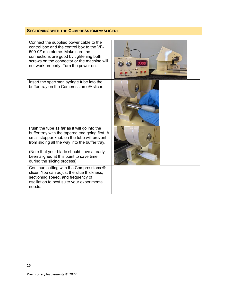# **SECTIONING WITH THE COMPRESSTOME® SLICER:**

| Connect the supplied power cable to the<br>control box and the control box to the VF-<br>500-0Z microtome. Make sure the<br>connections are good by tightening both<br>screws on the connector or the machine will<br>not work properly. Turn the power on.                                                                |  |
|----------------------------------------------------------------------------------------------------------------------------------------------------------------------------------------------------------------------------------------------------------------------------------------------------------------------------|--|
| Insert the specimen syringe tube into the<br>buffer tray on the Compresstome® slicer.                                                                                                                                                                                                                                      |  |
| Push the tube as far as it will go into the<br>buffer tray with the tapered end going first. A<br>small stopper knob on the tube will prevent it<br>from sliding all the way into the buffer tray.<br>(Note that your blade should have already<br>been aligned at this point to save time<br>during the slicing process). |  |
| Continue cutting with the Compresstome®<br>slicer. You can adjust the slice thickness,<br>sectioning speed, and frequency of<br>oscillation to best suite your experimental<br>needs.                                                                                                                                      |  |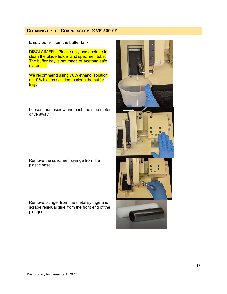# **CLEANING UP THE COMPRESSTOME® VF-500-0Z:**

| Empty buffer from the buffer tank.<br><b>DISCLAIMER</b> - Please only use acetone to<br>clean the blade holder and specimen tube.<br>The buffer tray is not made of Acetone safe<br>materials.<br>We recommend using 70% ethanol solution<br>or 10% bleach solution to clean the buffer<br>tray. |  |
|--------------------------------------------------------------------------------------------------------------------------------------------------------------------------------------------------------------------------------------------------------------------------------------------------|--|
| Loosen thumbscrew and push the step motor<br>drive away.                                                                                                                                                                                                                                         |  |
| Remove the specimen syringe from the<br>plastic base.                                                                                                                                                                                                                                            |  |
| Remove plunger from the metal syringe and<br>scrape residual glue from the front end of the<br>plunger.                                                                                                                                                                                          |  |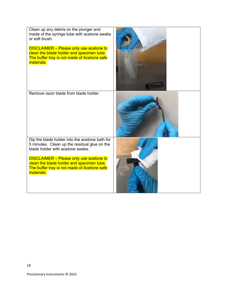| Clean up any debris on the plunger and<br>inside of the syringe tube with acetone swabs<br>or soft brush.<br><b>DISCLAIMER</b> - Please only use acetone to<br>clean the blade holder and specimen tube.<br>The buffer tray is not made of Acetone safe<br>materials. |  |
|-----------------------------------------------------------------------------------------------------------------------------------------------------------------------------------------------------------------------------------------------------------------------|--|
| Remove razor blade from blade holder.                                                                                                                                                                                                                                 |  |
| Dip the blade holder into the acetone bath for<br>5 minutes. Clean up the residual glue on the<br>blade holder with acetone swabs.                                                                                                                                    |  |
| <b>DISCLAIMER</b> - Please only use acetone to<br>clean the blade holder and specimen tube.<br>The buffer tray is not made of Acetone safe<br>materials.                                                                                                              |  |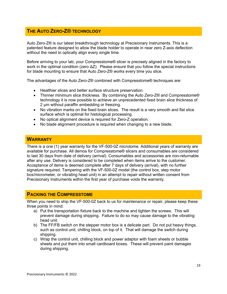# **THE AUTO ZERO-Z® TECHNOLOGY**

Auto Zero-Z® is our latest breakthrough technology at Precisionary Instruments. This is a patented feature designed to allow the blade holder to operate in near zero Z-axis deflection without the need to optically align every single time.

Before arriving to your lab, your Compresstome® slicer is precisely aligned in the factory to work in the optimal condition (zero  $\Delta Z$ ). Please ensure that you follow the special instructions for blade mounting to ensure that Auto Zero-Z® works every time you slice.

The advantages of the Auto Zero-Z® combined with Compresstome® techniques are:

- Healthier slices and better surface structure preservation.
- Thinner minimum slice thickness. By combining the Auto Zero-Z® and Compresstome® technology it is now possible to achieve an unprecedented fixed brain slice thickness of 2 um without paraffin embedding or freezing.
- No vibration marks on the fixed brain slices. The result is a very smooth and flat slice surface which is optimal for histological processing.
- No optical alignment device is required for Zero-Z operation.
- No blade alignment procedure is required when changing to a new blade.

### **WARRANTY**

There is a one (1) year warranty for the VF-500-0Z microtome. Additional years of warranty are available for purchase. All demos for Compresstome® slicers and consumables are considered to last 30 days from date of delivery (arrival). Consumables and accessories are non-returnable after any use. Delivery is considered to be completed when items arrive to the customer. Acceptance of items is deemed complete after 7 days of delivery (arrival), with no further signature required. Tampering with the VF-500-0Z model (the control box, step motor box/micrometer, or vibrating head unit) in an attempt to repair without written consent from Precisionary Instruments within the first year of purchase voids the warranty.

# **PACKING THE COMPRESSTOME**

When you need to ship the VF-500-0Z back to us for maintenance or repair, please keep these three points in mind:

- a) Put the transportation fixture back to the machine and tighten the screws. This will prevent damage during shipping. Failure to do so may cause damage to the vibrating head unit.
- b) The FF/FB switch on the stepper motor box is a delicate part. Do not put heavy things, such as control unit, chilling block, on top of it. That will damage the switch during shipping.
- c) Wrap the control unit, chilling block and power adaptor with foam sheets or bubble sheets and put them into small cardboard boxes. These will prevent paint damages during shipping.